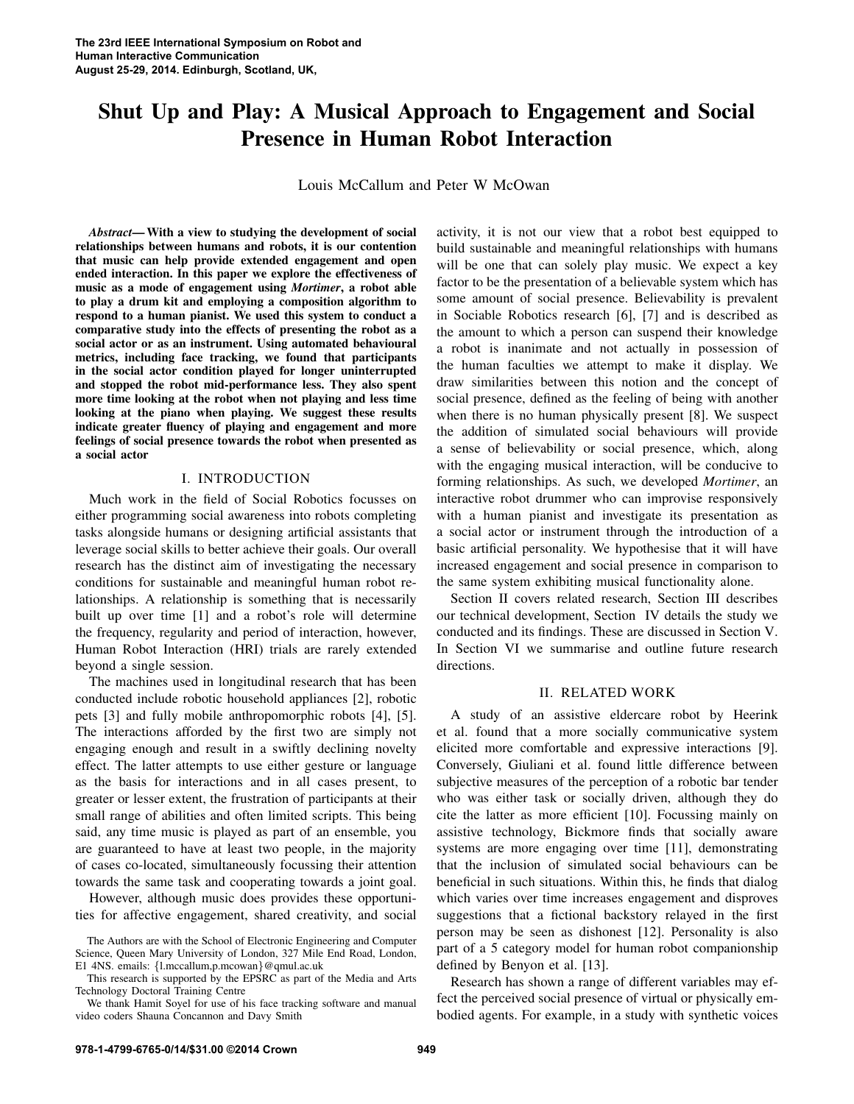# Shut Up and Play: A Musical Approach to Engagement and Social Presence in Human Robot Interaction

Louis McCallum and Peter W McOwan

*Abstract*—With a view to studying the development of social relationships between humans and robots, it is our contention that music can help provide extended engagement and open ended interaction. In this paper we explore the effectiveness of music as a mode of engagement using *Mortimer*, a robot able to play a drum kit and employing a composition algorithm to respond to a human pianist. We used this system to conduct a comparative study into the effects of presenting the robot as a social actor or as an instrument. Using automated behavioural metrics, including face tracking, we found that participants in the social actor condition played for longer uninterrupted and stopped the robot mid-performance less. They also spent more time looking at the robot when not playing and less time looking at the piano when playing. We suggest these results indicate greater fluency of playing and engagement and more feelings of social presence towards the robot when presented as a social actor

## I. INTRODUCTION

Much work in the field of Social Robotics focusses on either programming social awareness into robots completing tasks alongside humans or designing artificial assistants that leverage social skills to better achieve their goals. Our overall research has the distinct aim of investigating the necessary conditions for sustainable and meaningful human robot relationships. A relationship is something that is necessarily built up over time [1] and a robot's role will determine the frequency, regularity and period of interaction, however, Human Robot Interaction (HRI) trials are rarely extended beyond a single session.

The machines used in longitudinal research that has been conducted include robotic household appliances [2], robotic pets [3] and fully mobile anthropomorphic robots [4], [5]. The interactions afforded by the first two are simply not engaging enough and result in a swiftly declining novelty effect. The latter attempts to use either gesture or language as the basis for interactions and in all cases present, to greater or lesser extent, the frustration of participants at their small range of abilities and often limited scripts. This being said, any time music is played as part of an ensemble, you are guaranteed to have at least two people, in the majority of cases co-located, simultaneously focussing their attention towards the same task and cooperating towards a joint goal.

However, although music does provides these opportunities for affective engagement, shared creativity, and social activity, it is not our view that a robot best equipped to build sustainable and meaningful relationships with humans will be one that can solely play music. We expect a key factor to be the presentation of a believable system which has some amount of social presence. Believability is prevalent in Sociable Robotics research [6], [7] and is described as the amount to which a person can suspend their knowledge a robot is inanimate and not actually in possession of the human faculties we attempt to make it display. We draw similarities between this notion and the concept of social presence, defined as the feeling of being with another when there is no human physically present [8]. We suspect the addition of simulated social behaviours will provide a sense of believability or social presence, which, along with the engaging musical interaction, will be conducive to forming relationships. As such, we developed *Mortimer*, an interactive robot drummer who can improvise responsively with a human pianist and investigate its presentation as a social actor or instrument through the introduction of a basic artificial personality. We hypothesise that it will have increased engagement and social presence in comparison to the same system exhibiting musical functionality alone.

Section II covers related research, Section III describes our technical development, Section IV details the study we conducted and its findings. These are discussed in Section V. In Section VI we summarise and outline future research directions.

## II. RELATED WORK

A study of an assistive eldercare robot by Heerink et al. found that a more socially communicative system elicited more comfortable and expressive interactions [9]. Conversely, Giuliani et al. found little difference between subjective measures of the perception of a robotic bar tender who was either task or socially driven, although they do cite the latter as more efficient [10]. Focussing mainly on assistive technology, Bickmore finds that socially aware systems are more engaging over time [11], demonstrating that the inclusion of simulated social behaviours can be beneficial in such situations. Within this, he finds that dialog which varies over time increases engagement and disproves suggestions that a fictional backstory relayed in the first person may be seen as dishonest [12]. Personality is also part of a 5 category model for human robot companionship defined by Benyon et al. [13].

Research has shown a range of different variables may effect the perceived social presence of virtual or physically embodied agents. For example, in a study with synthetic voices

The Authors are with the School of Electronic Engineering and Computer Science, Queen Mary University of London, 327 Mile End Road, London, E1 4NS. emails: *{*l.mccallum,p.mcowan*}*@qmul.ac.uk

This research is supported by the EPSRC as part of the Media and Arts Technology Doctoral Training Centre

We thank Hamit Soyel for use of his face tracking software and manual video coders Shauna Concannon and Davy Smith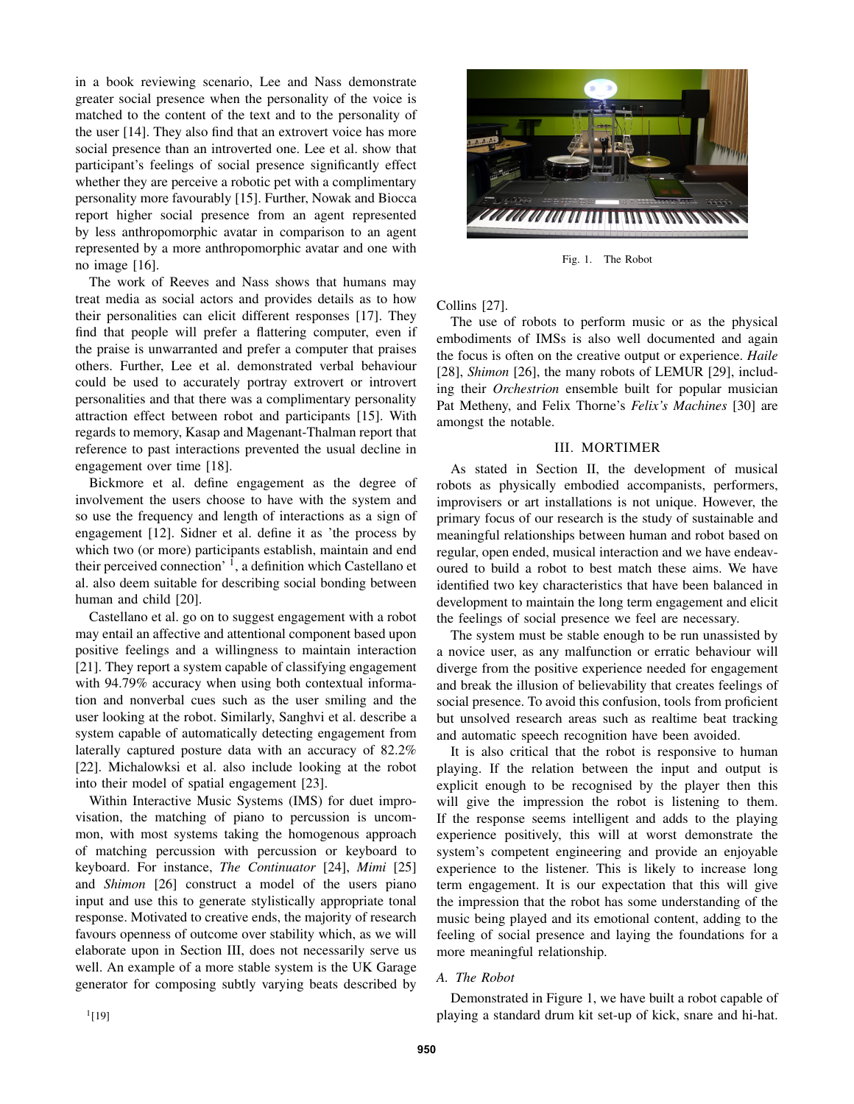in a book reviewing scenario, Lee and Nass demonstrate greater social presence when the personality of the voice is matched to the content of the text and to the personality of the user [14]. They also find that an extrovert voice has more social presence than an introverted one. Lee et al. show that participant's feelings of social presence significantly effect whether they are perceive a robotic pet with a complimentary personality more favourably [15]. Further, Nowak and Biocca report higher social presence from an agent represented by less anthropomorphic avatar in comparison to an agent represented by a more anthropomorphic avatar and one with no image [16].

The work of Reeves and Nass shows that humans may treat media as social actors and provides details as to how their personalities can elicit different responses [17]. They find that people will prefer a flattering computer, even if the praise is unwarranted and prefer a computer that praises others. Further, Lee et al. demonstrated verbal behaviour could be used to accurately portray extrovert or introvert personalities and that there was a complimentary personality attraction effect between robot and participants [15]. With regards to memory, Kasap and Magenant-Thalman report that reference to past interactions prevented the usual decline in engagement over time [18].

Bickmore et al. define engagement as the degree of involvement the users choose to have with the system and so use the frequency and length of interactions as a sign of engagement [12]. Sidner et al. define it as 'the process by which two (or more) participants establish, maintain and end their perceived connection' <sup>1</sup>, a definition which Castellano et al. also deem suitable for describing social bonding between human and child [20].

Castellano et al. go on to suggest engagement with a robot may entail an affective and attentional component based upon positive feelings and a willingness to maintain interaction [21]. They report a system capable of classifying engagement with 94.79% accuracy when using both contextual information and nonverbal cues such as the user smiling and the user looking at the robot. Similarly, Sanghvi et al. describe a system capable of automatically detecting engagement from laterally captured posture data with an accuracy of 82.2% [22]. Michalowksi et al. also include looking at the robot into their model of spatial engagement [23].

Within Interactive Music Systems (IMS) for duet improvisation, the matching of piano to percussion is uncommon, with most systems taking the homogenous approach of matching percussion with percussion or keyboard to keyboard. For instance, *The Continuator* [24], *Mimi* [25] and *Shimon* [26] construct a model of the users piano input and use this to generate stylistically appropriate tonal response. Motivated to creative ends, the majority of research favours openness of outcome over stability which, as we will elaborate upon in Section III, does not necessarily serve us well. An example of a more stable system is the UK Garage generator for composing subtly varying beats described by



Fig. 1. The Robot

Collins [27].

The use of robots to perform music or as the physical embodiments of IMSs is also well documented and again the focus is often on the creative output or experience. *Haile* [28], *Shimon* [26], the many robots of LEMUR [29], including their *Orchestrion* ensemble built for popular musician Pat Metheny, and Felix Thorne's *Felix's Machines* [30] are amongst the notable.

## III. MORTIMER

As stated in Section II, the development of musical robots as physically embodied accompanists, performers, improvisers or art installations is not unique. However, the primary focus of our research is the study of sustainable and meaningful relationships between human and robot based on regular, open ended, musical interaction and we have endeavoured to build a robot to best match these aims. We have identified two key characteristics that have been balanced in development to maintain the long term engagement and elicit the feelings of social presence we feel are necessary.

The system must be stable enough to be run unassisted by a novice user, as any malfunction or erratic behaviour will diverge from the positive experience needed for engagement and break the illusion of believability that creates feelings of social presence. To avoid this confusion, tools from proficient but unsolved research areas such as realtime beat tracking and automatic speech recognition have been avoided.

It is also critical that the robot is responsive to human playing. If the relation between the input and output is explicit enough to be recognised by the player then this will give the impression the robot is listening to them. If the response seems intelligent and adds to the playing experience positively, this will at worst demonstrate the system's competent engineering and provide an enjoyable experience to the listener. This is likely to increase long term engagement. It is our expectation that this will give the impression that the robot has some understanding of the music being played and its emotional content, adding to the feeling of social presence and laying the foundations for a more meaningful relationship.

## *A. The Robot*

Demonstrated in Figure 1, we have built a robot capable of playing a standard drum kit set-up of kick, snare and hi-hat.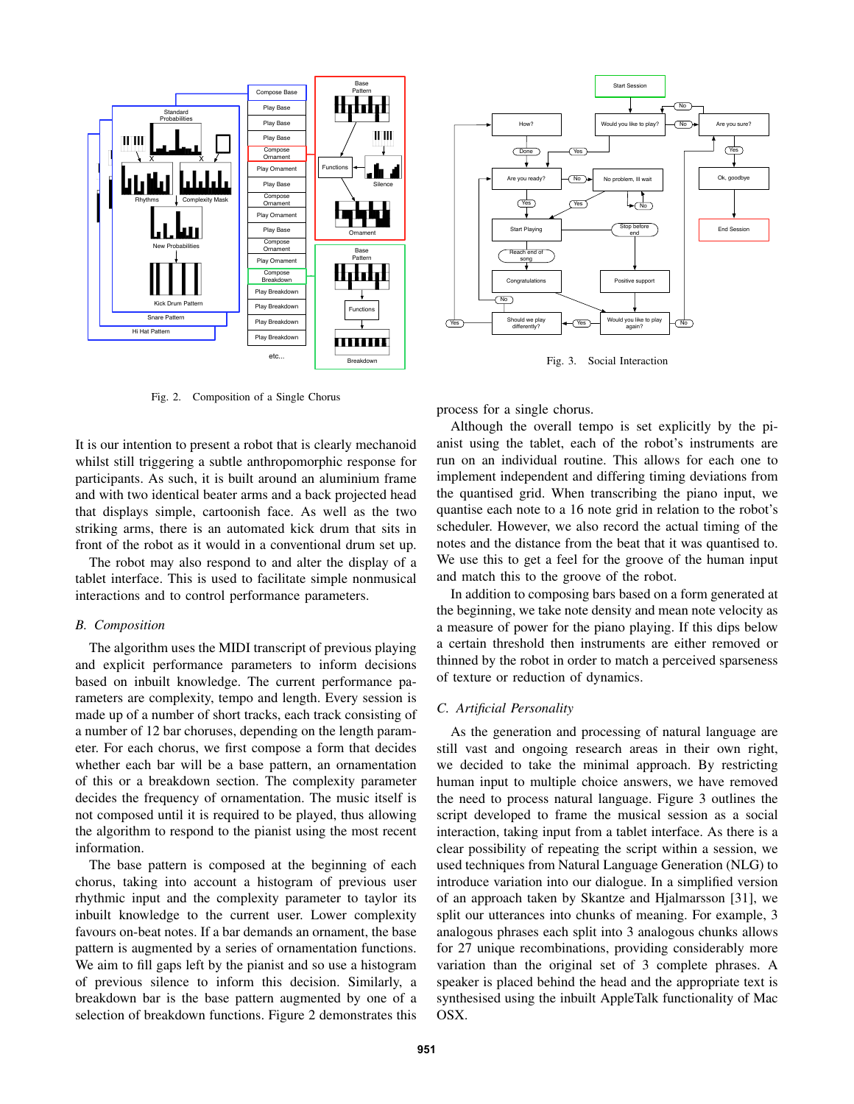

Fig. 2. Composition of a Single Chorus

It is our intention to present a robot that is clearly mechanoid whilst still triggering a subtle anthropomorphic response for participants. As such, it is built around an aluminium frame and with two identical beater arms and a back projected head that displays simple, cartoonish face. As well as the two striking arms, there is an automated kick drum that sits in front of the robot as it would in a conventional drum set up.

The robot may also respond to and alter the display of a tablet interface. This is used to facilitate simple nonmusical interactions and to control performance parameters.

#### *B. Composition*

The algorithm uses the MIDI transcript of previous playing and explicit performance parameters to inform decisions based on inbuilt knowledge. The current performance parameters are complexity, tempo and length. Every session is made up of a number of short tracks, each track consisting of a number of 12 bar choruses, depending on the length parameter. For each chorus, we first compose a form that decides whether each bar will be a base pattern, an ornamentation of this or a breakdown section. The complexity parameter decides the frequency of ornamentation. The music itself is not composed until it is required to be played, thus allowing the algorithm to respond to the pianist using the most recent information.

The base pattern is composed at the beginning of each chorus, taking into account a histogram of previous user rhythmic input and the complexity parameter to taylor its inbuilt knowledge to the current user. Lower complexity favours on-beat notes. If a bar demands an ornament, the base pattern is augmented by a series of ornamentation functions. We aim to fill gaps left by the pianist and so use a histogram of previous silence to inform this decision. Similarly, a breakdown bar is the base pattern augmented by one of a selection of breakdown functions. Figure 2 demonstrates this



Fig. 3. Social Interaction

process for a single chorus.

Although the overall tempo is set explicitly by the pianist using the tablet, each of the robot's instruments are run on an individual routine. This allows for each one to implement independent and differing timing deviations from the quantised grid. When transcribing the piano input, we quantise each note to a 16 note grid in relation to the robot's scheduler. However, we also record the actual timing of the notes and the distance from the beat that it was quantised to. We use this to get a feel for the groove of the human input and match this to the groove of the robot.

In addition to composing bars based on a form generated at the beginning, we take note density and mean note velocity as a measure of power for the piano playing. If this dips below a certain threshold then instruments are either removed or thinned by the robot in order to match a perceived sparseness of texture or reduction of dynamics.

## *C. Artificial Personality*

As the generation and processing of natural language are still vast and ongoing research areas in their own right, we decided to take the minimal approach. By restricting human input to multiple choice answers, we have removed the need to process natural language. Figure 3 outlines the script developed to frame the musical session as a social interaction, taking input from a tablet interface. As there is a clear possibility of repeating the script within a session, we used techniques from Natural Language Generation (NLG) to introduce variation into our dialogue. In a simplified version of an approach taken by Skantze and Hjalmarsson [31], we split our utterances into chunks of meaning. For example, 3 analogous phrases each split into 3 analogous chunks allows for 27 unique recombinations, providing considerably more variation than the original set of 3 complete phrases. A speaker is placed behind the head and the appropriate text is synthesised using the inbuilt AppleTalk functionality of Mac OSX.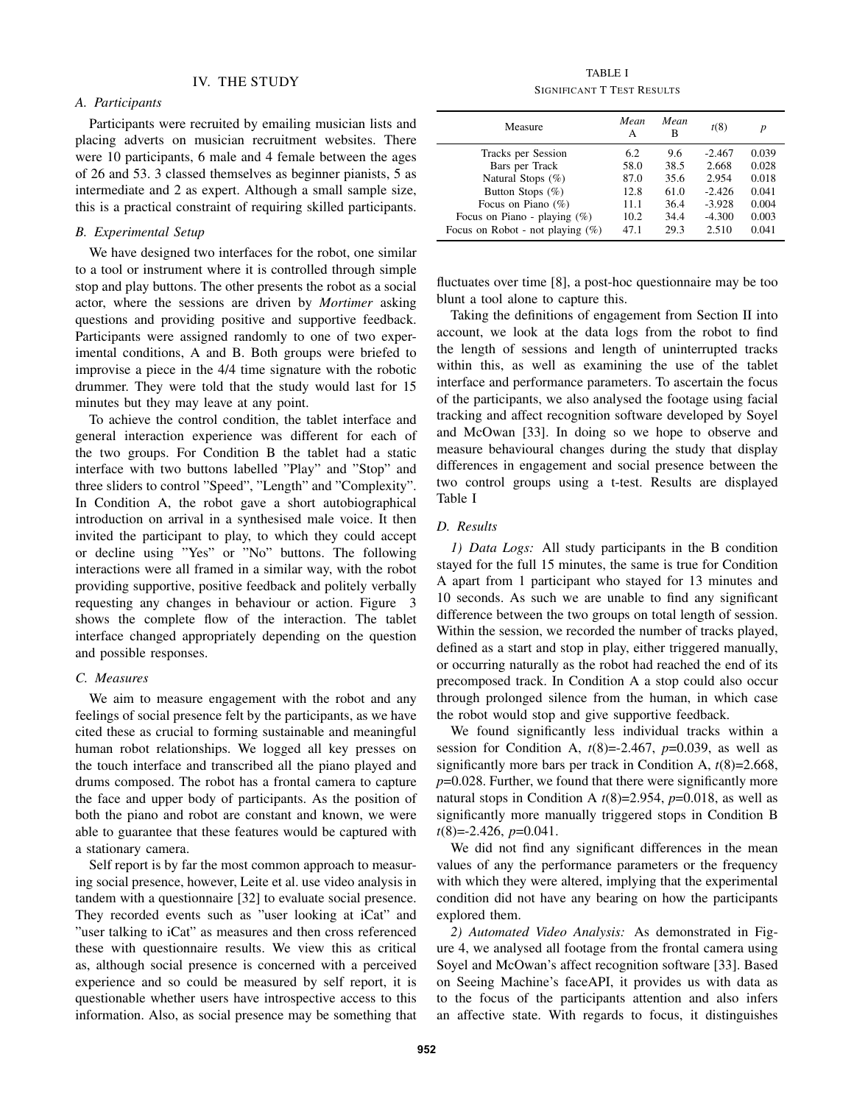## IV. THE STUDY

# *A. Participants*

Participants were recruited by emailing musician lists and placing adverts on musician recruitment websites. There were 10 participants, 6 male and 4 female between the ages of 26 and 53. 3 classed themselves as beginner pianists, 5 as intermediate and 2 as expert. Although a small sample size, this is a practical constraint of requiring skilled participants.

# *B. Experimental Setup*

We have designed two interfaces for the robot, one similar to a tool or instrument where it is controlled through simple stop and play buttons. The other presents the robot as a social actor, where the sessions are driven by *Mortimer* asking questions and providing positive and supportive feedback. Participants were assigned randomly to one of two experimental conditions, A and B. Both groups were briefed to improvise a piece in the 4/4 time signature with the robotic drummer. They were told that the study would last for 15 minutes but they may leave at any point.

To achieve the control condition, the tablet interface and general interaction experience was different for each of the two groups. For Condition B the tablet had a static interface with two buttons labelled "Play" and "Stop" and three sliders to control "Speed", "Length" and "Complexity". In Condition A, the robot gave a short autobiographical introduction on arrival in a synthesised male voice. It then invited the participant to play, to which they could accept or decline using "Yes" or "No" buttons. The following interactions were all framed in a similar way, with the robot providing supportive, positive feedback and politely verbally requesting any changes in behaviour or action. Figure 3 shows the complete flow of the interaction. The tablet interface changed appropriately depending on the question and possible responses.

# *C. Measures*

We aim to measure engagement with the robot and any feelings of social presence felt by the participants, as we have cited these as crucial to forming sustainable and meaningful human robot relationships. We logged all key presses on the touch interface and transcribed all the piano played and drums composed. The robot has a frontal camera to capture the face and upper body of participants. As the position of both the piano and robot are constant and known, we were able to guarantee that these features would be captured with a stationary camera.

Self report is by far the most common approach to measuring social presence, however, Leite et al. use video analysis in tandem with a questionnaire [32] to evaluate social presence. They recorded events such as "user looking at iCat" and "user talking to iCat" as measures and then cross referenced these with questionnaire results. We view this as critical as, although social presence is concerned with a perceived experience and so could be measured by self report, it is questionable whether users have introspective access to this information. Also, as social presence may be something that

TABLE I SIGNIFICANT T TEST RESULTS

| Measure                             | Mean<br>А | Mean<br>В | t(8)     | p     |
|-------------------------------------|-----------|-----------|----------|-------|
| Tracks per Session                  | 6.2       | 9.6       | $-2.467$ | 0.039 |
| Bars per Track                      | 58.0      | 38.5      | 2.668    | 0.028 |
| Natural Stops $(\% )$               | 87.0      | 35.6      | 2.954    | 0.018 |
| Button Stops $(\%)$                 | 12.8      | 61.0      | $-2.426$ | 0.041 |
| Focus on Piano $(\% )$              | 11.1      | 36.4      | $-3.928$ | 0.004 |
| Focus on Piano - playing $(\%)$     | 10.2      | 34.4      | $-4.300$ | 0.003 |
| Focus on Robot - not playing $(\%)$ | 47.1      | 29.3      | 2.510    | 0.041 |

fluctuates over time [8], a post-hoc questionnaire may be too blunt a tool alone to capture this.

Taking the definitions of engagement from Section II into account, we look at the data logs from the robot to find the length of sessions and length of uninterrupted tracks within this, as well as examining the use of the tablet interface and performance parameters. To ascertain the focus of the participants, we also analysed the footage using facial tracking and affect recognition software developed by Soyel and McOwan [33]. In doing so we hope to observe and measure behavioural changes during the study that display differences in engagement and social presence between the two control groups using a t-test. Results are displayed Table I

## *D. Results*

*1) Data Logs:* All study participants in the B condition stayed for the full 15 minutes, the same is true for Condition A apart from 1 participant who stayed for 13 minutes and 10 seconds. As such we are unable to find any significant difference between the two groups on total length of session. Within the session, we recorded the number of tracks played, defined as a start and stop in play, either triggered manually, or occurring naturally as the robot had reached the end of its precomposed track. In Condition A a stop could also occur through prolonged silence from the human, in which case the robot would stop and give supportive feedback.

We found significantly less individual tracks within a session for Condition A, *t*(8)=-2.467, *p*=0.039, as well as significantly more bars per track in Condition A, *t*(8)=2.668, *p*=0.028. Further, we found that there were significantly more natural stops in Condition A  $t(8)=2.954$ ,  $p=0.018$ , as well as significantly more manually triggered stops in Condition B *t*(8)=-2.426, *p*=0.041.

We did not find any significant differences in the mean values of any the performance parameters or the frequency with which they were altered, implying that the experimental condition did not have any bearing on how the participants explored them.

*2) Automated Video Analysis:* As demonstrated in Figure 4, we analysed all footage from the frontal camera using Soyel and McOwan's affect recognition software [33]. Based on Seeing Machine's faceAPI, it provides us with data as to the focus of the participants attention and also infers an affective state. With regards to focus, it distinguishes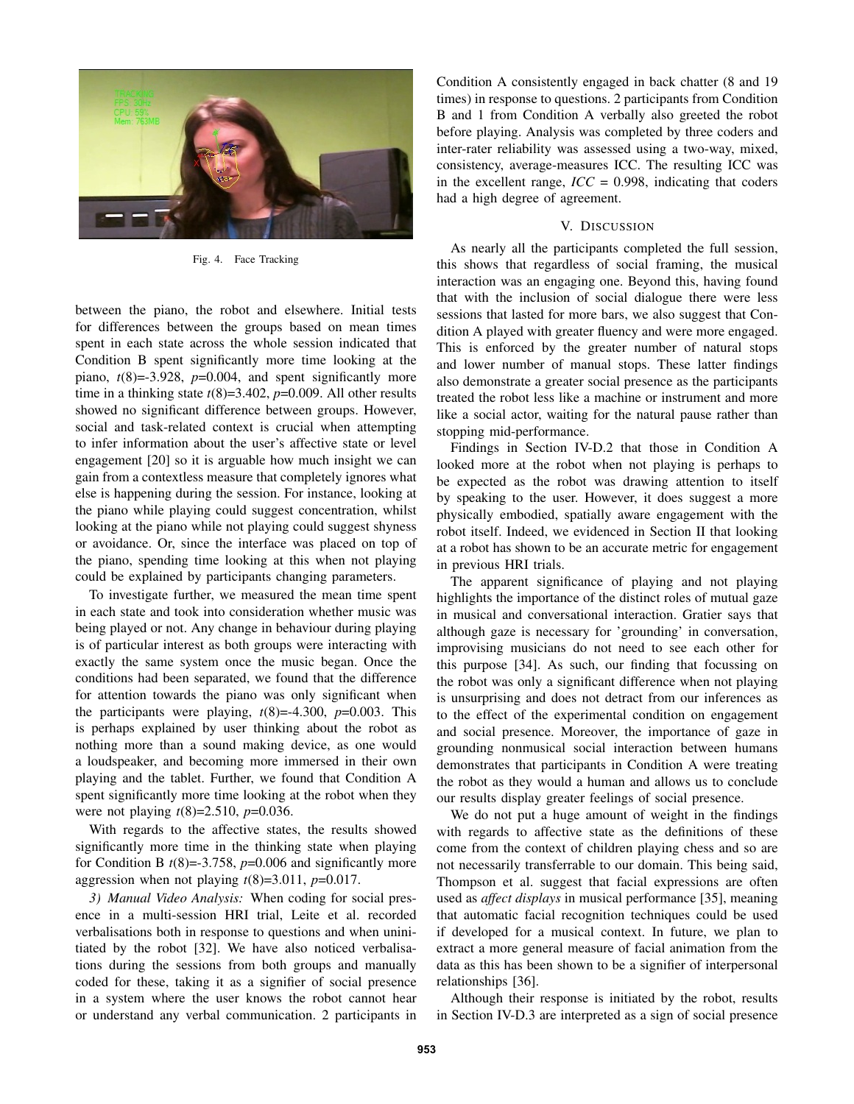

Fig. 4. Face Tracking

between the piano, the robot and elsewhere. Initial tests for differences between the groups based on mean times spent in each state across the whole session indicated that Condition B spent significantly more time looking at the piano,  $t(8) = -3.928$ ,  $p=0.004$ , and spent significantly more time in a thinking state *t*(8)=3.402, *p*=0.009. All other results showed no significant difference between groups. However, social and task-related context is crucial when attempting to infer information about the user's affective state or level engagement [20] so it is arguable how much insight we can gain from a contextless measure that completely ignores what else is happening during the session. For instance, looking at the piano while playing could suggest concentration, whilst looking at the piano while not playing could suggest shyness or avoidance. Or, since the interface was placed on top of the piano, spending time looking at this when not playing could be explained by participants changing parameters.

To investigate further, we measured the mean time spent in each state and took into consideration whether music was being played or not. Any change in behaviour during playing is of particular interest as both groups were interacting with exactly the same system once the music began. Once the conditions had been separated, we found that the difference for attention towards the piano was only significant when the participants were playing,  $t(8) = -4.300$ ,  $p = 0.003$ . This is perhaps explained by user thinking about the robot as nothing more than a sound making device, as one would a loudspeaker, and becoming more immersed in their own playing and the tablet. Further, we found that Condition A spent significantly more time looking at the robot when they were not playing *t*(8)=2.510, *p*=0.036.

With regards to the affective states, the results showed significantly more time in the thinking state when playing for Condition B *t*(8)=-3.758, *p*=0.006 and significantly more aggression when not playing *t*(8)=3.011, *p*=0.017.

*3) Manual Video Analysis:* When coding for social presence in a multi-session HRI trial, Leite et al. recorded verbalisations both in response to questions and when uninitiated by the robot [32]. We have also noticed verbalisations during the sessions from both groups and manually coded for these, taking it as a signifier of social presence in a system where the user knows the robot cannot hear or understand any verbal communication. 2 participants in Condition A consistently engaged in back chatter (8 and 19 times) in response to questions. 2 participants from Condition B and 1 from Condition A verbally also greeted the robot before playing. Analysis was completed by three coders and inter-rater reliability was assessed using a two-way, mixed, consistency, average-measures ICC. The resulting ICC was in the excellent range,  $ICC = 0.998$ , indicating that coders had a high degree of agreement.

# V. DISCUSSION

As nearly all the participants completed the full session, this shows that regardless of social framing, the musical interaction was an engaging one. Beyond this, having found that with the inclusion of social dialogue there were less sessions that lasted for more bars, we also suggest that Condition A played with greater fluency and were more engaged. This is enforced by the greater number of natural stops and lower number of manual stops. These latter findings also demonstrate a greater social presence as the participants treated the robot less like a machine or instrument and more like a social actor, waiting for the natural pause rather than stopping mid-performance.

Findings in Section IV-D.2 that those in Condition A looked more at the robot when not playing is perhaps to be expected as the robot was drawing attention to itself by speaking to the user. However, it does suggest a more physically embodied, spatially aware engagement with the robot itself. Indeed, we evidenced in Section II that looking at a robot has shown to be an accurate metric for engagement in previous HRI trials.

The apparent significance of playing and not playing highlights the importance of the distinct roles of mutual gaze in musical and conversational interaction. Gratier says that although gaze is necessary for 'grounding' in conversation, improvising musicians do not need to see each other for this purpose [34]. As such, our finding that focussing on the robot was only a significant difference when not playing is unsurprising and does not detract from our inferences as to the effect of the experimental condition on engagement and social presence. Moreover, the importance of gaze in grounding nonmusical social interaction between humans demonstrates that participants in Condition A were treating the robot as they would a human and allows us to conclude our results display greater feelings of social presence.

We do not put a huge amount of weight in the findings with regards to affective state as the definitions of these come from the context of children playing chess and so are not necessarily transferrable to our domain. This being said, Thompson et al. suggest that facial expressions are often used as *affect displays* in musical performance [35], meaning that automatic facial recognition techniques could be used if developed for a musical context. In future, we plan to extract a more general measure of facial animation from the data as this has been shown to be a signifier of interpersonal relationships [36].

Although their response is initiated by the robot, results in Section IV-D.3 are interpreted as a sign of social presence